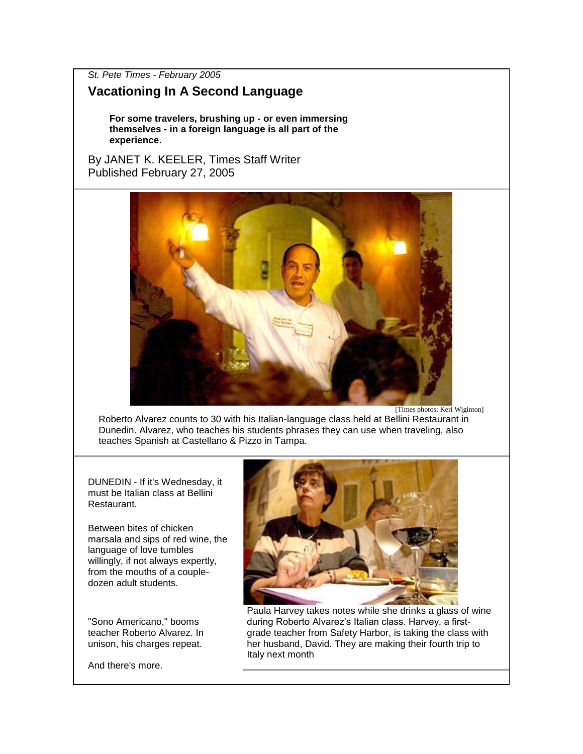*St. Pete Times - February 2005*

## **Vacationing In A Second Language**

**For some travelers, brushing up - or even immersing themselves - in a foreign language is all part of the experience.**

By JANET K. KEELER, Times Staff Writer Published February 27, 2005



[Times photos: Keri Wiginton]

Roberto Alvarez counts to 30 with his Italian-language class held at Bellini Restaurant in Dunedin. Alvarez, who teaches his students phrases they can use when traveling, also teaches Spanish at Castellano & Pizzo in Tampa.

DUNEDIN - If it's Wednesday, it must be Italian class at Bellini Restaurant.

Between bites of chicken marsala and sips of red wine, the language of love tumbles willingly, if not always expertly, from the mouths of a coupledozen adult students.

"Sono Americano," booms teacher Roberto Alvarez. In unison, his charges repeat.



Paula Harvey takes notes while she drinks a glass of wine during Roberto Alvarez's Italian class. Harvey, a firstgrade teacher from Safety Harbor, is taking the class with her husband, David. They are making their fourth trip to Italy next month

And there's more.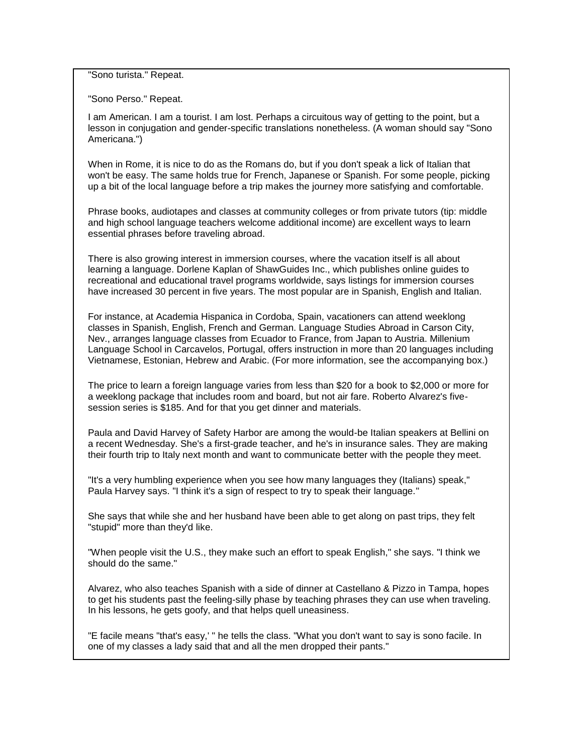"Sono turista." Repeat.

"Sono Perso." Repeat.

I am American. I am a tourist. I am lost. Perhaps a circuitous way of getting to the point, but a lesson in conjugation and gender-specific translations nonetheless. (A woman should say "Sono Americana.")

When in Rome, it is nice to do as the Romans do, but if you don't speak a lick of Italian that won't be easy. The same holds true for French, Japanese or Spanish. For some people, picking up a bit of the local language before a trip makes the journey more satisfying and comfortable.

Phrase books, audiotapes and classes at community colleges or from private tutors (tip: middle and high school language teachers welcome additional income) are excellent ways to learn essential phrases before traveling abroad.

There is also growing interest in immersion courses, where the vacation itself is all about learning a language. Dorlene Kaplan of ShawGuides Inc., which publishes online guides to recreational and educational travel programs worldwide, says listings for immersion courses have increased 30 percent in five years. The most popular are in Spanish, English and Italian.

For instance, at Academia Hispanica in Cordoba, Spain, vacationers can attend weeklong classes in Spanish, English, French and German. Language Studies Abroad in Carson City, Nev., arranges language classes from Ecuador to France, from Japan to Austria. Millenium Language School in Carcavelos, Portugal, offers instruction in more than 20 languages including Vietnamese, Estonian, Hebrew and Arabic. (For more information, see the accompanying box.)

The price to learn a foreign language varies from less than \$20 for a book to \$2,000 or more for a weeklong package that includes room and board, but not air fare. Roberto Alvarez's fivesession series is \$185. And for that you get dinner and materials.

Paula and David Harvey of Safety Harbor are among the would-be Italian speakers at Bellini on a recent Wednesday. She's a first-grade teacher, and he's in insurance sales. They are making their fourth trip to Italy next month and want to communicate better with the people they meet.

"It's a very humbling experience when you see how many languages they (Italians) speak," Paula Harvey says. "I think it's a sign of respect to try to speak their language."

She says that while she and her husband have been able to get along on past trips, they felt "stupid" more than they'd like.

"When people visit the U.S., they make such an effort to speak English," she says. "I think we should do the same."

Alvarez, who also teaches Spanish with a side of dinner at Castellano & Pizzo in Tampa, hopes to get his students past the feeling-silly phase by teaching phrases they can use when traveling. In his lessons, he gets goofy, and that helps quell uneasiness.

"E facile means "that's easy,' " he tells the class. "What you don't want to say is sono facile. In one of my classes a lady said that and all the men dropped their pants."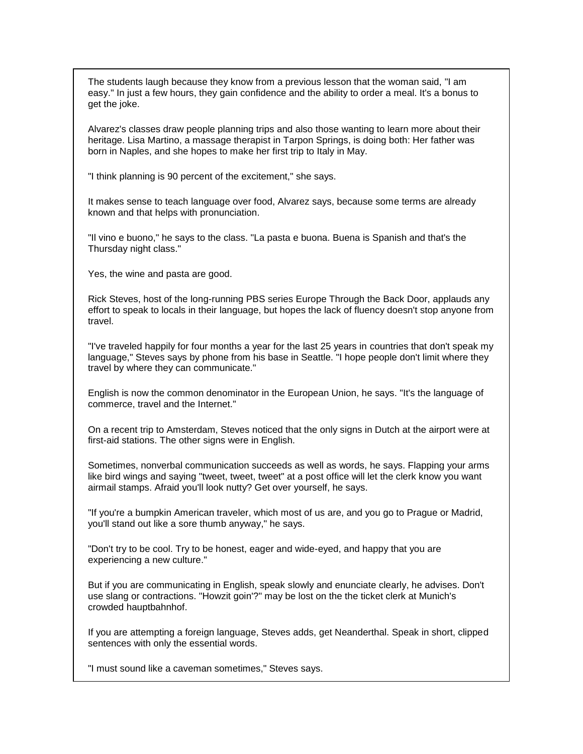The students laugh because they know from a previous lesson that the woman said, "I am easy." In just a few hours, they gain confidence and the ability to order a meal. It's a bonus to get the joke.

Alvarez's classes draw people planning trips and also those wanting to learn more about their heritage. Lisa Martino, a massage therapist in Tarpon Springs, is doing both: Her father was born in Naples, and she hopes to make her first trip to Italy in May.

"I think planning is 90 percent of the excitement," she says.

It makes sense to teach language over food, Alvarez says, because some terms are already known and that helps with pronunciation.

"Il vino e buono," he says to the class. "La pasta e buona. Buena is Spanish and that's the Thursday night class."

Yes, the wine and pasta are good.

Rick Steves, host of the long-running PBS series Europe Through the Back Door, applauds any effort to speak to locals in their language, but hopes the lack of fluency doesn't stop anyone from travel.

"I've traveled happily for four months a year for the last 25 years in countries that don't speak my language," Steves says by phone from his base in Seattle. "I hope people don't limit where they travel by where they can communicate."

English is now the common denominator in the European Union, he says. "It's the language of commerce, travel and the Internet."

On a recent trip to Amsterdam, Steves noticed that the only signs in Dutch at the airport were at first-aid stations. The other signs were in English.

Sometimes, nonverbal communication succeeds as well as words, he says. Flapping your arms like bird wings and saying "tweet, tweet, tweet" at a post office will let the clerk know you want airmail stamps. Afraid you'll look nutty? Get over yourself, he says.

"If you're a bumpkin American traveler, which most of us are, and you go to Prague or Madrid, you'll stand out like a sore thumb anyway," he says.

"Don't try to be cool. Try to be honest, eager and wide-eyed, and happy that you are experiencing a new culture."

But if you are communicating in English, speak slowly and enunciate clearly, he advises. Don't use slang or contractions. "Howzit goin'?" may be lost on the the ticket clerk at Munich's crowded hauptbahnhof.

If you are attempting a foreign language, Steves adds, get Neanderthal. Speak in short, clipped sentences with only the essential words.

"I must sound like a caveman sometimes," Steves says.